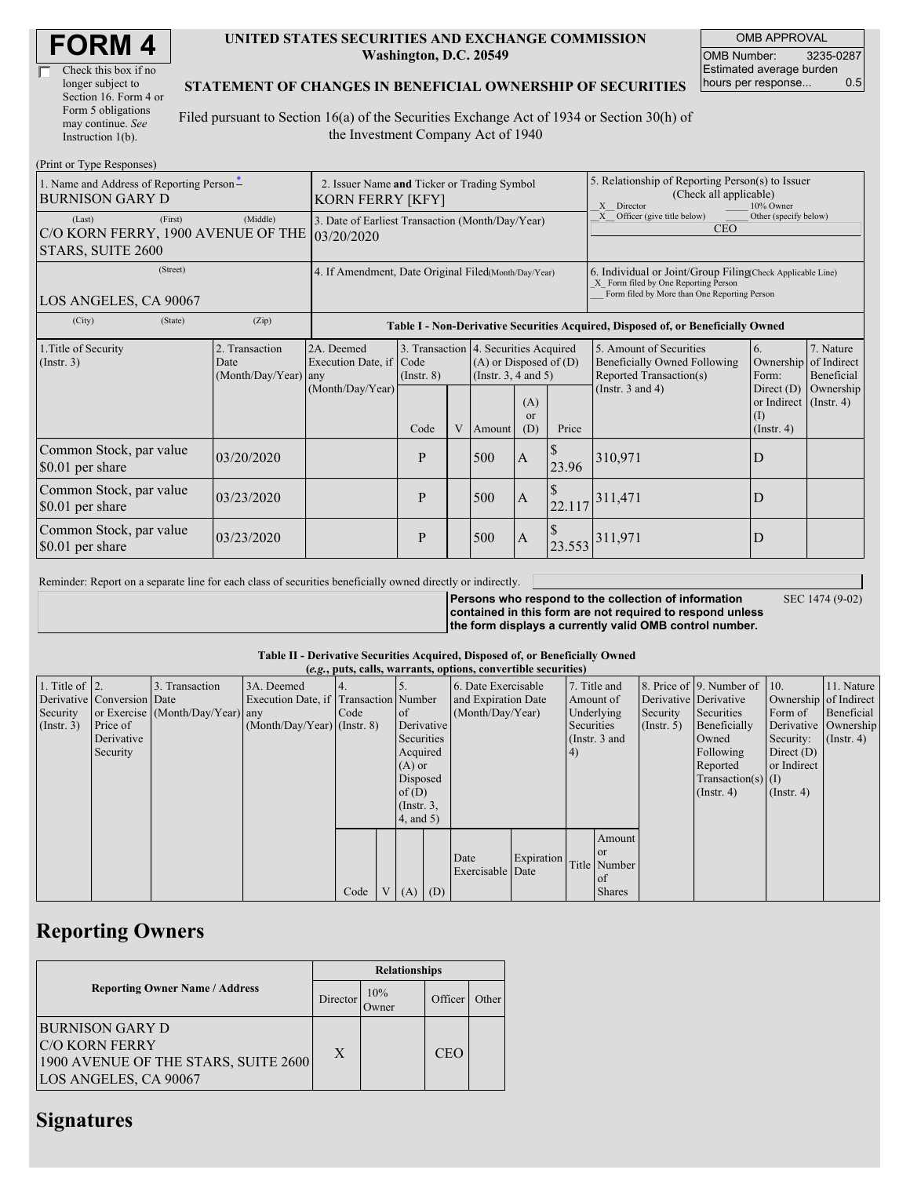| <b>FORM4</b> |
|--------------|
|--------------|

| Check this box if no  |
|-----------------------|
| longer subject to     |
| Section 16. Form 4 or |
| Form 5 obligations    |
| may continue. See     |
| Instruction 1(b).     |

#### **UNITED STATES SECURITIES AND EXCHANGE COMMISSION Washington, D.C. 20549**

OMB APPROVAL OMB Number: 3235-0287 Estimated average burden hours per response... 0.5

### **STATEMENT OF CHANGES IN BENEFICIAL OWNERSHIP OF SECURITIES**

Filed pursuant to Section 16(a) of the Securities Exchange Act of 1934 or Section 30(h) of the Investment Company Act of 1940

| (Print or Type Responses)                                                                                      |                                                                        |                                                                  |                         |   |                                                                                                                                               |                |                                                                                                                                                    |                                                                                                             |                                                                                  |                                                               |
|----------------------------------------------------------------------------------------------------------------|------------------------------------------------------------------------|------------------------------------------------------------------|-------------------------|---|-----------------------------------------------------------------------------------------------------------------------------------------------|----------------|----------------------------------------------------------------------------------------------------------------------------------------------------|-------------------------------------------------------------------------------------------------------------|----------------------------------------------------------------------------------|---------------------------------------------------------------|
| 1. Name and Address of Reporting Person-<br>BURNISON GARY D                                                    | 2. Issuer Name and Ticker or Trading Symbol<br><b>KORN FERRY [KFY]</b> |                                                                  |                         |   |                                                                                                                                               |                | 5. Relationship of Reporting Person(s) to Issuer<br>(Check all applicable)<br>X Director<br>10% Owner                                              |                                                                                                             |                                                                                  |                                                               |
| (First)<br>(Last)<br>C/O KORN FERRY, 1900 AVENUE OF THE 03/20/2020<br>STARS, SUITE 2600                        | 3. Date of Earliest Transaction (Month/Day/Year)                       |                                                                  |                         |   |                                                                                                                                               |                | Officer (give title below)<br>Other (specify below)<br>X<br><b>CEO</b>                                                                             |                                                                                                             |                                                                                  |                                                               |
| (Street)<br>LOS ANGELES, CA 90067                                                                              | 4. If Amendment, Date Original Filed(Month/Day/Year)                   |                                                                  |                         |   |                                                                                                                                               |                | 6. Individual or Joint/Group Filing(Check Applicable Line)<br>X Form filed by One Reporting Person<br>Form filed by More than One Reporting Person |                                                                                                             |                                                                                  |                                                               |
| (State)<br>(Zip)<br>(City)<br>Table I - Non-Derivative Securities Acquired, Disposed of, or Beneficially Owned |                                                                        |                                                                  |                         |   |                                                                                                                                               |                |                                                                                                                                                    |                                                                                                             |                                                                                  |                                                               |
| 1. Title of Security<br>$($ Instr. 3 $)$                                                                       | 2. Transaction<br>Date<br>(Month/Day/Year)                             | 2A. Deemed<br>Execution Date, if Code<br>any<br>(Month/Day/Year) | $($ Instr. $8)$<br>Code | V | 3. Transaction 4. Securities Acquired<br>$(A)$ or Disposed of $(D)$<br>(Instr. $3, 4$ and $5$ )<br>(A)<br><b>or</b><br>Price<br>(D)<br>Amount |                |                                                                                                                                                    | 5. Amount of Securities<br>Beneficially Owned Following<br>Reported Transaction(s)<br>(Instr. $3$ and $4$ ) | 6.<br>Form:<br>Direct $(D)$<br>or Indirect (Instr. 4)<br>(I)<br>$($ Instr. 4 $)$ | 7. Nature<br>Ownership of Indirect<br>Beneficial<br>Ownership |
| Common Stock, par value<br>\$0.01 per share                                                                    | 03/20/2020                                                             |                                                                  | P                       |   | 500                                                                                                                                           | $\mathbf{A}$   | 23.96                                                                                                                                              | 310,971                                                                                                     | D                                                                                |                                                               |
| Common Stock, par value<br>\$0.01 per share                                                                    | 03/23/2020                                                             |                                                                  | P                       |   | 500                                                                                                                                           | $\overline{A}$ | 22.117                                                                                                                                             | 311,471                                                                                                     | D                                                                                |                                                               |
| Common Stock, par value<br>\$0.01 per share                                                                    | 03/23/2020                                                             |                                                                  | P                       |   | 500                                                                                                                                           | $\overline{A}$ | 23.553                                                                                                                                             | 311,971                                                                                                     | D                                                                                |                                                               |

Reminder: Report on a separate line for each class of securities beneficially owned directly or indirectly.

SEC 1474 (9-02)

**Persons who respond to the collection of information contained in this form are not required to respond unless the form displays a currently valid OMB control number.**

### **Table II - Derivative Securities Acquired, Disposed of, or Beneficially Owned**

|                        |                            |                                  |                                       |      |                |                 |     | (e.g., puts, calls, warrants, options, convertible securities) |            |            |               |                       |                          |                       |                      |
|------------------------|----------------------------|----------------------------------|---------------------------------------|------|----------------|-----------------|-----|----------------------------------------------------------------|------------|------------|---------------|-----------------------|--------------------------|-----------------------|----------------------|
| 1. Title of $\vert$ 2. |                            | 3. Transaction                   | 3A. Deemed                            | 4.   |                |                 |     | 6. Date Exercisable                                            |            |            | 7. Title and  |                       | 8. Price of 9. Number of | $\vert$ 10.           | 11. Nature           |
|                        | Derivative Conversion Date |                                  | Execution Date, if Transaction Number |      |                |                 |     | and Expiration Date                                            |            |            | Amount of     | Derivative Derivative |                          | Ownership of Indirect |                      |
| Security               |                            | or Exercise (Month/Day/Year) any |                                       | Code |                | <sub>of</sub>   |     | (Month/Day/Year)                                               |            |            | Underlying    | Security              | Securities               | Form of               | Beneficial           |
| $($ Instr. 3 $)$       | Price of                   |                                  | $(Month/Day/Year)$ (Instr. 8)         |      |                | Derivative      |     |                                                                |            | Securities |               | $($ Instr. 5)         | Beneficially             |                       | Derivative Ownership |
|                        | Derivative                 |                                  |                                       |      |                | Securities      |     |                                                                |            |            | (Instr. 3 and |                       | Owned                    | Security:             | $($ Instr. 4 $)$     |
|                        | Security                   |                                  |                                       |      |                | Acquired        |     |                                                                |            | 4)         |               |                       | Following                | Direct $(D)$          |                      |
|                        |                            |                                  |                                       |      |                | $(A)$ or        |     |                                                                |            |            |               |                       | Reported                 | or Indirect           |                      |
|                        |                            |                                  |                                       |      |                | Disposed        |     |                                                                |            |            |               |                       | $Transaction(s)$ (I)     |                       |                      |
|                        |                            |                                  |                                       |      |                | of(D)           |     |                                                                |            |            |               |                       | $($ Instr. 4 $)$         | $($ Instr. 4 $)$      |                      |
|                        |                            |                                  |                                       |      |                | $($ Instr. $3,$ |     |                                                                |            |            |               |                       |                          |                       |                      |
|                        |                            |                                  |                                       |      |                | $4$ , and $5$ ) |     |                                                                |            |            |               |                       |                          |                       |                      |
|                        |                            |                                  |                                       |      |                |                 |     |                                                                |            |            | Amount        |                       |                          |                       |                      |
|                        |                            |                                  |                                       |      |                |                 |     |                                                                |            |            | <sub>or</sub> |                       |                          |                       |                      |
|                        |                            |                                  |                                       |      |                |                 |     | Date                                                           | Expiration |            | Title Number  |                       |                          |                       |                      |
|                        |                            |                                  |                                       |      |                |                 |     | Exercisable Date                                               |            |            | of            |                       |                          |                       |                      |
|                        |                            |                                  |                                       | Code | V <sub>1</sub> | (A)             | (D) |                                                                |            |            | <b>Shares</b> |                       |                          |                       |                      |

## **Reporting Owners**

|                                                                                                                  | <b>Relationships</b> |                      |         |       |  |  |  |
|------------------------------------------------------------------------------------------------------------------|----------------------|----------------------|---------|-------|--|--|--|
| <b>Reporting Owner Name / Address</b>                                                                            | Director             | 10%<br><b>J</b> wner | Officer | Other |  |  |  |
| <b>BURNISON GARY D</b><br><b>C/O KORN FERRY</b><br>1900 AVENUE OF THE STARS, SUITE 2600<br>LOS ANGELES, CA 90067 | X                    |                      | CEO     |       |  |  |  |

### **Signatures**